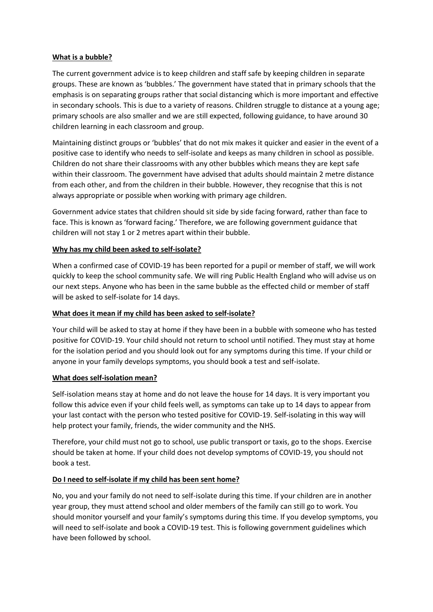### **What is a bubble?**

The current government advice is to keep children and staff safe by keeping children in separate groups. These are known as 'bubbles.' The government have stated that in primary schools that the emphasis is on separating groups rather that social distancing which is more important and effective in secondary schools. This is due to a variety of reasons. Children struggle to distance at a young age; primary schools are also smaller and we are still expected, following guidance, to have around 30 children learning in each classroom and group.

Maintaining distinct groups or 'bubbles' that do not mix makes it quicker and easier in the event of a positive case to identify who needs to self-isolate and keeps as many children in school as possible. Children do not share their classrooms with any other bubbles which means they are kept safe within their classroom. The government have advised that adults should maintain 2 metre distance from each other, and from the children in their bubble. However, they recognise that this is not always appropriate or possible when working with primary age children.

Government advice states that children should sit side by side facing forward, rather than face to face. This is known as 'forward facing.' Therefore, we are following government guidance that children will not stay 1 or 2 metres apart within their bubble.

## **Why has my child been asked to self-isolate?**

When a confirmed case of COVID-19 has been reported for a pupil or member of staff, we will work quickly to keep the school community safe. We will ring Public Health England who will advise us on our next steps. Anyone who has been in the same bubble as the effected child or member of staff will be asked to self-isolate for 14 days.

#### **What does it mean if my child has been asked to self-isolate?**

Your child will be asked to stay at home if they have been in a bubble with someone who has tested positive for COVID-19. Your child should not return to school until notified. They must stay at home for the isolation period and you should look out for any symptoms during this time. If your child or anyone in your family develops symptoms, you should book a test and self-isolate.

#### **What does self-isolation mean?**

Self-isolation means stay at home and do not leave the house for 14 days. It is very important you follow this advice even if your child feels well, as symptoms can take up to 14 days to appear from your last contact with the person who tested positive for COVID-19. Self-isolating in this way will help protect your family, friends, the wider community and the NHS.

Therefore, your child must not go to school, use public transport or taxis, go to the shops. Exercise should be taken at home. If your child does not develop symptoms of COVID-19, you should not book a test.

# **Do I need to self-isolate if my child has been sent home?**

No, you and your family do not need to self-isolate during this time. If your children are in another year group, they must attend school and older members of the family can still go to work. You should monitor yourself and your family's symptoms during this time. If you develop symptoms, you will need to self-isolate and book a COVID-19 test. This is following government guidelines which have been followed by school.